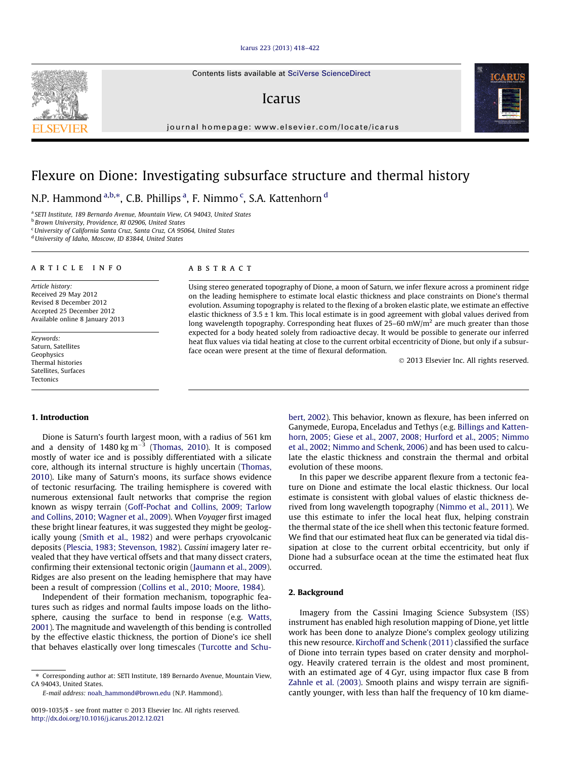#### [Icarus 223 \(2013\) 418–422](http://dx.doi.org/10.1016/j.icarus.2012.12.021)

Contents lists available at [SciVerse ScienceDirect](http://www.sciencedirect.com/science/journal/00191035)

## Icarus

journal homepage: [www.elsevier.com/locate/icarus](http://www.elsevier.com/locate/icarus)

# Flexure on Dione: Investigating subsurface structure and thermal history

N.P. Hammond <sup>a,b,</sup>\*, C.B. Phillips <sup>a</sup>, F. Nimmo <sup>c</sup>, S.A. Kattenhorn <sup>d</sup>

<sup>a</sup> SETI Institute, 189 Bernardo Avenue, Mountain View, CA 94043, United States

**b Brown University, Providence, RI 02906, United States** 

<sup>c</sup>University of California Santa Cruz, Santa Cruz, CA 95064, United States

<sup>d</sup> University of Idaho, Moscow, ID 83844, United States

#### article info

Article history: Received 29 May 2012 Revised 8 December 2012 Accepted 25 December 2012 Available online 8 January 2013

Keywords: Saturn, Satellites Geophysics Thermal histories Satellites, Surfaces Tectonics

1. Introduction

#### ABSTRACT

Using stereo generated topography of Dione, a moon of Saturn, we infer flexure across a prominent ridge on the leading hemisphere to estimate local elastic thickness and place constraints on Dione's thermal evolution. Assuming topography is related to the flexing of a broken elastic plate, we estimate an effective elastic thickness of 3.5 ± 1 km. This local estimate is in good agreement with global values derived from long wavelength topography. Corresponding heat fluxes of 25–60 mW/m<sup>2</sup> are much greater than those expected for a body heated solely from radioactive decay. It would be possible to generate our inferred heat flux values via tidal heating at close to the current orbital eccentricity of Dione, but only if a subsurface ocean were present at the time of flexural deformation.

- 2013 Elsevier Inc. All rights reserved.

### Dione is Saturn's fourth largest moon, with a radius of 561 km and a density of  $1480 \text{ kg m}^{-3}$  ([Thomas, 2010\)](#page-4-0). It is composed mostly of water ice and is possibly differentiated with a silicate core, although its internal structure is highly uncertain [\(Thomas,](#page-4-0)

[2010\)](#page-4-0). Like many of Saturn's moons, its surface shows evidence of tectonic resurfacing. The trailing hemisphere is covered with numerous extensional fault networks that comprise the region known as wispy terrain ([Goff-Pochat and Collins, 2009; Tarlow](#page-4-0) [and Collins, 2010; Wagner et al., 2009](#page-4-0)). When Voyager first imaged these bright linear features, it was suggested they might be geologically young [\(Smith et al., 1982](#page-4-0)) and were perhaps cryovolcanic deposits ([Plescia, 1983; Stevenson, 1982](#page-4-0)). Cassini imagery later revealed that they have vertical offsets and that many dissect craters, confirming their extensional tectonic origin [\(Jaumann et al., 2009\)](#page-4-0). Ridges are also present on the leading hemisphere that may have been a result of compression [\(Collins et al., 2010; Moore, 1984](#page-4-0)).

Independent of their formation mechanism, topographic features such as ridges and normal faults impose loads on the lithosphere, causing the surface to bend in response (e.g. [Watts,](#page-4-0) [2001\)](#page-4-0). The magnitude and wavelength of this bending is controlled by the effective elastic thickness, the portion of Dione's ice shell that behaves elastically over long timescales [\(Turcotte and Schu-](#page-4-0) [bert, 2002](#page-4-0)). This behavior, known as flexure, has been inferred on Ganymede, Europa, Enceladus and Tethys (e.g. [Billings and Katten](#page-4-0)[horn, 2005; Giese et al., 2007, 2008; Hurford et al., 2005; Nimmo](#page-4-0) [et al., 2002; Nimmo and Schenk, 2006\)](#page-4-0) and has been used to calculate the elastic thickness and constrain the thermal and orbital evolution of these moons.

In this paper we describe apparent flexure from a tectonic feature on Dione and estimate the local elastic thickness. Our local estimate is consistent with global values of elastic thickness derived from long wavelength topography [\(Nimmo et al., 2011](#page-4-0)). We use this estimate to infer the local heat flux, helping constrain the thermal state of the ice shell when this tectonic feature formed. We find that our estimated heat flux can be generated via tidal dissipation at close to the current orbital eccentricity, but only if Dione had a subsurface ocean at the time the estimated heat flux occurred.

#### 2. Background

Imagery from the Cassini Imaging Science Subsystem (ISS) instrument has enabled high resolution mapping of Dione, yet little work has been done to analyze Dione's complex geology utilizing this new resource. [Kirchoff and Schenk \(2011\)](#page-4-0) classified the surface of Dione into terrain types based on crater density and morphology. Heavily cratered terrain is the oldest and most prominent, with an estimated age of 4 Gyr, using impactor flux case B from [Zahnle et al. \(2003\)](#page-4-0). Smooth plains and wispy terrain are significantly younger, with less than half the frequency of 10 km diame-





<sup>⇑</sup> Corresponding author at: SETI Institute, 189 Bernardo Avenue, Mountain View, CA 94043, United States.

E-mail address: [noah\\_hammond@brown.edu](mailto:noah_hammond@brown.edu) (N.P. Hammond).

<sup>0019-1035/\$ -</sup> see front matter © 2013 Elsevier Inc. All rights reserved. <http://dx.doi.org/10.1016/j.icarus.2012.12.021>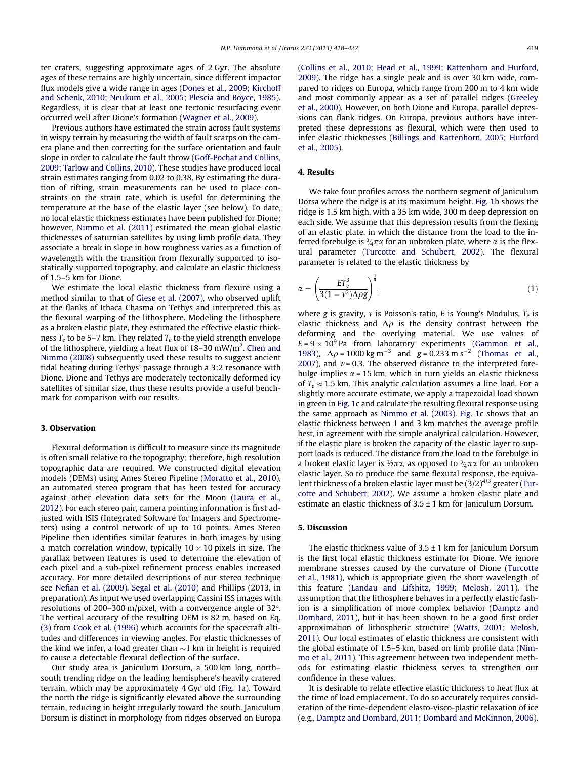ter craters, suggesting approximate ages of 2 Gyr. The absolute ages of these terrains are highly uncertain, since different impactor flux models give a wide range in ages ([Dones et al., 2009; Kirchoff](#page-4-0) [and Schenk, 2010; Neukum et al., 2005; Plescia and Boyce, 1985\)](#page-4-0). Regardless, it is clear that at least one tectonic resurfacing event occurred well after Dione's formation ([Wagner et al., 2009](#page-4-0)).

Previous authors have estimated the strain across fault systems in wispy terrain by measuring the width of fault scarps on the camera plane and then correcting for the surface orientation and fault slope in order to calculate the fault throw ([Goff-Pochat and Collins,](#page-4-0) [2009; Tarlow and Collins, 2010\)](#page-4-0). These studies have produced local strain estimates ranging from 0.02 to 0.38. By estimating the duration of rifting, strain measurements can be used to place constraints on the strain rate, which is useful for determining the temperature at the base of the elastic layer (see below). To date, no local elastic thickness estimates have been published for Dione; however, [Nimmo et al. \(2011\)](#page-4-0) estimated the mean global elastic thicknesses of saturnian satellites by using limb profile data. They associate a break in slope in how roughness varies as a function of wavelength with the transition from flexurally supported to isostatically supported topography, and calculate an elastic thickness of 1.5–5 km for Dione.

We estimate the local elastic thickness from flexure using a method similar to that of [Giese et al. \(2007\)](#page-4-0), who observed uplift at the flanks of Ithaca Chasma on Tethys and interpreted this as the flexural warping of the lithosphere. Modeling the lithosphere as a broken elastic plate, they estimated the effective elastic thickness  $T_e$  to be 5–7 km. They related  $T_e$  to the yield strength envelope of the lithosphere, yielding a heat flux of 18–30 mW/m<sup>2</sup>. [Chen and](#page-4-0) [Nimmo \(2008\)](#page-4-0) subsequently used these results to suggest ancient tidal heating during Tethys' passage through a 3:2 resonance with Dione. Dione and Tethys are moderately tectonically deformed icy satellites of similar size, thus these results provide a useful benchmark for comparison with our results.

#### 3. Observation

Flexural deformation is difficult to measure since its magnitude is often small relative to the topography; therefore, high resolution topographic data are required. We constructed digital elevation models (DEMs) using Ames Stereo Pipeline ([Moratto et al., 2010\)](#page-4-0), an automated stereo program that has been tested for accuracy against other elevation data sets for the Moon ([Laura et al.,](#page-4-0) [2012\)](#page-4-0). For each stereo pair, camera pointing information is first adjusted with ISIS (Integrated Software for Imagers and Spectrometers) using a control network of up to 10 points. Ames Stereo Pipeline then identifies similar features in both images by using a match correlation window, typically  $10 \times 10$  pixels in size. The parallax between features is used to determine the elevation of each pixel and a sub-pixel refinement process enables increased accuracy. For more detailed descriptions of our stereo technique see [Nefian et al. \(2009\), Segal et al. \(2010\)](#page-4-0) and Phillips (2013, in preparation). As input we used overlapping Cassini ISS images with resolutions of 200–300 m/pixel, with a convergence angle of  $32^{\circ}$ . The vertical accuracy of the resulting DEM is 82 m, based on Eq. [\(3\)](#page-3-0) from [Cook et al. \(1996\)](#page-4-0) which accounts for the spacecraft altitudes and differences in viewing angles. For elastic thicknesses of the kind we infer, a load greater than  $\sim$ 1 km in height is required to cause a detectable flexural deflection of the surface.

Our study area is Janiculum Dorsum, a 500 km long, north– south trending ridge on the leading hemisphere's heavily cratered terrain, which may be approximately 4 Gyr old ([Fig. 1a](#page-2-0)). Toward the north the ridge is significantly elevated above the surrounding terrain, reducing in height irregularly toward the south. Janiculum Dorsum is distinct in morphology from ridges observed on Europa ([Collins et al., 2010; Head et al., 1999; Kattenhorn and Hurford,](#page-4-0) [2009](#page-4-0)). The ridge has a single peak and is over 30 km wide, compared to ridges on Europa, which range from 200 m to 4 km wide and most commonly appear as a set of parallel ridges ([Greeley](#page-4-0) [et al., 2000](#page-4-0)). However, on both Dione and Europa, parallel depressions can flank ridges. On Europa, previous authors have interpreted these depressions as flexural, which were then used to infer elastic thicknesses [\(Billings and Kattenhorn, 2005; Hurford](#page-4-0) [et al., 2005\)](#page-4-0).

#### 4. Results

We take four profiles across the northern segment of Janiculum Dorsa where the ridge is at its maximum height. [Fig. 1](#page-2-0)b shows the ridge is 1.5 km high, with a 35 km wide, 300 m deep depression on each side. We assume that this depression results from the flexing of an elastic plate, in which the distance from the load to the inferred forebulge is  $\frac{3}{4}\pi\alpha$  for an unbroken plate, where  $\alpha$  is the flexural parameter ([Turcotte and Schubert, 2002\)](#page-4-0). The flexural parameter is related to the elastic thickness by

$$
\alpha = \left(\frac{ET_e^3}{3(1 - v^2)\Delta\rho g}\right)^{\frac{1}{4}},\tag{1}
$$

where g is gravity, v is Poisson's ratio, E is Young's Modulus,  $T_e$  is elastic thickness and  $\Delta \rho$  is the density contrast between the deforming and the overlying material. We use values of  $E = 9 \times 10^9$  Pa from laboratory experiments ([Gammon et al.,](#page-4-0) [1983](#page-4-0)),  $\Delta \rho = 1000 \text{ kg m}^{-3}$  and  $g = 0.233 \text{ m s}^{-2}$  [\(Thomas et al.,](#page-4-0) [2007](#page-4-0)), and  $v = 0.3$ . The observed distance to the interpreted forebulge implies  $\alpha$  = 15 km, which in turn yields an elastic thickness of  $T_e \approx 1.5$  km. This analytic calculation assumes a line load. For a slightly more accurate estimate, we apply a trapezoidal load shown in green in [Fig. 1](#page-2-0)c and calculate the resulting flexural response using the same approach as [Nimmo et al. \(2003\).](#page-4-0) [Fig. 1c](#page-2-0) shows that an elastic thickness between 1 and 3 km matches the average profile best, in agreement with the simple analytical calculation. However, if the elastic plate is broken the capacity of the elastic layer to support loads is reduced. The distance from the load to the forebulge in a broken elastic layer is  $\frac{1}{2}\pi\alpha$ , as opposed to  $\frac{3}{4}\pi\alpha$  for an unbroken elastic layer. So to produce the same flexural response, the equivalent thickness of a broken elastic layer must be  $(3/2)^{4/3}$  greater ([Tur](#page-4-0)[cotte and Schubert, 2002](#page-4-0)). We assume a broken elastic plate and estimate an elastic thickness of  $3.5 \pm 1$  km for Janiculum Dorsum.

#### 5. Discussion

The elastic thickness value of  $3.5 \pm 1$  km for Janiculum Dorsum is the first local elastic thickness estimate for Dione. We ignore membrane stresses caused by the curvature of Dione ([Turcotte](#page-4-0) [et al., 1981\)](#page-4-0), which is appropriate given the short wavelength of this feature [\(Landau and Lifshitz, 1999;](#page-4-0) [Melosh, 2011\)](#page-4-0). The assumption that the lithosphere behaves in a perfectly elastic fashion is a simplification of more complex behavior ([Damptz and](#page-4-0) [Dombard, 2011\)](#page-4-0), but it has been shown to be a good first order approximation of lithospheric structure ([Watts, 2001; Melosh,](#page-4-0) [2011](#page-4-0)). Our local estimates of elastic thickness are consistent with the global estimate of 1.5–5 km, based on limb profile data [\(Nim](#page-4-0)[mo et al., 2011](#page-4-0)). This agreement between two independent methods for estimating elastic thickness serves to strengthen our confidence in these values.

It is desirable to relate effective elastic thickness to heat flux at the time of load emplacement. To do so accurately requires consideration of the time-dependent elasto-visco-plastic relaxation of ice (e.g., [Damptz and Dombard, 2011; Dombard and McKinnon, 2006\)](#page-4-0).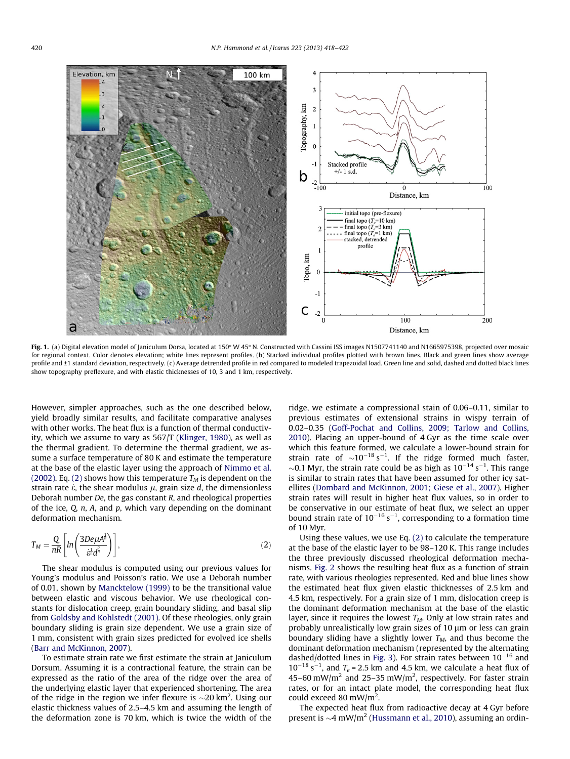<span id="page-2-0"></span>

Fig. 1. (a) Digital elevation model of laniculum Dorsa, located at 150° W 45° N. Constructed with Cassini ISS images N1507741140 and N1665975398, projected over mosaic for regional context. Color denotes elevation; white lines represent profiles. (b) Stacked individual profiles plotted with brown lines. Black and green lines show average profile and ±1 standard deviation, respectively. (c) Average detrended profile in red compared to modeled trapezoidal load. Green line and solid, dashed and dotted black lines show topography preflexure, and with elastic thicknesses of 10, 3 and 1 km, respectively.

However, simpler approaches, such as the one described below, yield broadly similar results, and facilitate comparative analyses with other works. The heat flux is a function of thermal conductivity, which we assume to vary as 567/T [\(Klinger, 1980](#page-4-0)), as well as the thermal gradient. To determine the thermal gradient, we assume a surface temperature of 80 K and estimate the temperature at the base of the elastic layer using the approach of [Nimmo et al.](#page-4-0) [\(2002\).](#page-4-0) Eq. (2) shows how this temperature  $T_M$  is dependent on the strain rate  $\dot{\epsilon}$ , the shear modulus  $\mu$ , grain size d, the dimensionless Deborah number De, the gas constant R, and rheological properties of the ice,  $Q$ ,  $n$ ,  $A$ , and  $p$ , which vary depending on the dominant deformation mechanism.

$$
T_M = \frac{Q}{nR} \left[ ln \left( \frac{3De\mu A^{\frac{1}{n}}}{\dot{\varepsilon}^{\frac{1}{n}} d^{\frac{p}{n}}} \right) \right],\tag{2}
$$

The shear modulus is computed using our previous values for Young's modulus and Poisson's ratio. We use a Deborah number of 0.01, shown by [Mancktelow \(1999\)](#page-4-0) to be the transitional value between elastic and viscous behavior. We use rheological constants for dislocation creep, grain boundary sliding, and basal slip from [Goldsby and Kohlstedt \(2001\)](#page-4-0). Of these rheologies, only grain boundary sliding is grain size dependent. We use a grain size of 1 mm, consistent with grain sizes predicted for evolved ice shells ([Barr and McKinnon, 2007](#page-4-0)).

To estimate strain rate we first estimate the strain at Janiculum Dorsum. Assuming it is a contractional feature, the strain can be expressed as the ratio of the area of the ridge over the area of the underlying elastic layer that experienced shortening. The area of the ridge in the region we infer flexure is  $\sim$ 20 km<sup>2</sup>. Using our elastic thickness values of 2.5–4.5 km and assuming the length of the deformation zone is 70 km, which is twice the width of the

ridge, we estimate a compressional stain of 0.06–0.11, similar to previous estimates of extensional strains in wispy terrain of 0.02–0.35 ([Goff-Pochat and Collins, 2009; Tarlow and Collins,](#page-4-0) [2010\)](#page-4-0). Placing an upper-bound of 4 Gyr as the time scale over which this feature formed, we calculate a lower-bound strain for strain rate of  $\sim 10^{-18}$  s<sup>-1</sup>. If the ridge formed much faster,  $\sim$ 0.1 Myr, the strain rate could be as high as  $10^{-14}$  s<sup>-1</sup>. This range is similar to strain rates that have been assumed for other icy satellites [\(Dombard and McKinnon, 2001; Giese et al., 2007](#page-4-0)). Higher strain rates will result in higher heat flux values, so in order to be conservative in our estimate of heat flux, we select an upper bound strain rate of  $10^{-16}$  s<sup>-1</sup>, corresponding to a formation time of 10 Myr.

Using these values, we use Eq. (2) to calculate the temperature at the base of the elastic layer to be 98–120 K. This range includes the three previously discussed rheological deformation mechanisms. [Fig. 2](#page-3-0) shows the resulting heat flux as a function of strain rate, with various rheologies represented. Red and blue lines show the estimated heat flux given elastic thicknesses of 2.5 km and 4.5 km, respectively. For a grain size of 1 mm, dislocation creep is the dominant deformation mechanism at the base of the elastic layer, since it requires the lowest  $T_M$ . Only at low strain rates and probably unrealistically low grain sizes of  $10 \mu m$  or less can grain boundary sliding have a slightly lower  $T_M$ , and thus become the dominant deformation mechanism (represented by the alternating dashed/dotted lines in [Fig. 3\)](#page-3-0). For strain rates between  $10^{-16}$  and  $10^{-18}$  s<sup>-1</sup>, and  $T_e$  = 2.5 km and 4.5 km, we calculate a heat flux of 45–60 mW/m<sup>2</sup> and 25–35 mW/m<sup>2</sup>, respectively. For faster strain rates, or for an intact plate model, the corresponding heat flux could exceed 80 mW/m<sup>2</sup>.

The expected heat flux from radioactive decay at 4 Gyr before present is  $\sim$ 4 mW/m<sup>2</sup> [\(Hussmann et al., 2010\)](#page-4-0), assuming an ordin-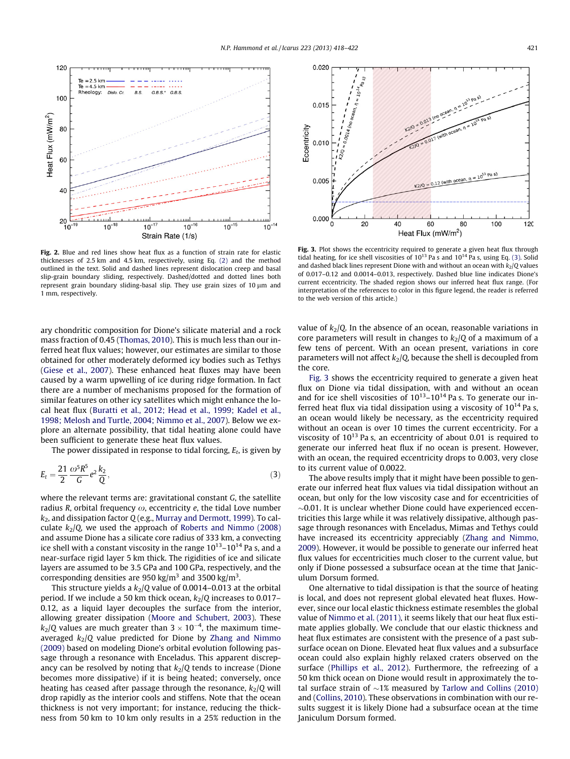<span id="page-3-0"></span>

Fig. 2. Blue and red lines show heat flux as a function of strain rate for elastic thicknesses of 2.5 km and 4.5 km, respectively, using Eq. [\(2\)](#page-2-0) and the method outlined in the text. Solid and dashed lines represent dislocation creep and basal slip-grain boundary sliding, respectively. Dashed/dotted and dotted lines both represent grain boundary sliding-basal slip. They use grain sizes of  $10 \mu m$  and 1 mm, respectively.

ary chondritic composition for Dione's silicate material and a rock mass fraction of 0.45 [\(Thomas, 2010](#page-4-0)). This is much less than our inferred heat flux values; however, our estimates are similar to those obtained for other moderately deformed icy bodies such as Tethys ([Giese et al., 2007\)](#page-4-0). These enhanced heat fluxes may have been caused by a warm upwelling of ice during ridge formation. In fact there are a number of mechanisms proposed for the formation of similar features on other icy satellites which might enhance the local heat flux ([Buratti et al., 2012; Head et al., 1999; Kadel et al.,](#page-4-0) [1998; Melosh and Turtle, 2004; Nimmo et al., 2007](#page-4-0)). Below we explore an alternate possibility, that tidal heating alone could have been sufficient to generate these heat flux values.

The power dissipated in response to tidal forcing,  $E_t$ , is given by

$$
E_t = \frac{21}{2} \frac{\omega^5 R^5}{G} e^2 \frac{k_2}{Q},
$$
\t(3)

where the relevant terms are: gravitational constant G, the satellite radius R, orbital frequency  $\omega$ , eccentricity e, the tidal Love number  $k<sub>2</sub>$ , and dissipation factor Q (e.g., [Murray and Dermott, 1999\)](#page-4-0). To calculate  $k_2$ /Q, we used the approach of [Roberts and Nimmo \(2008\)](#page-4-0) and assume Dione has a silicate core radius of 333 km, a convecting ice shell with a constant viscosity in the range  $10^{13}$ – $10^{14}$  Pa s, and a near-surface rigid layer 5 km thick. The rigidities of ice and silicate layers are assumed to be 3.5 GPa and 100 GPa, respectively, and the corresponding densities are 950 kg/m<sup>3</sup> and 3500 kg/m<sup>3</sup>.

This structure yields a  $k_2/Q$  value of 0.0014–0.013 at the orbital period. If we include a 50 km thick ocean,  $k_2/Q$  increases to 0.017– 0.12, as a liquid layer decouples the surface from the interior, allowing greater dissipation [\(Moore and Schubert, 2003\)](#page-4-0). These  $k_2$ /Q values are much greater than 3  $\times$  10<sup>-4</sup>, the maximum timeaveraged  $k_2/Q$  value predicted for Dione by [Zhang and Nimmo](#page-4-0) [\(2009\)](#page-4-0) based on modeling Dione's orbital evolution following passage through a resonance with Enceladus. This apparent discrepancy can be resolved by noting that  $k_2/Q$  tends to increase (Dione becomes more dissipative) if it is being heated; conversely, once heating has ceased after passage through the resonance,  $k_2/Q$  will drop rapidly as the interior cools and stiffens. Note that the ocean thickness is not very important; for instance, reducing the thickness from 50 km to 10 km only results in a 25% reduction in the



Fig. 3. Plot shows the eccentricity required to generate a given heat flux through tidal heating, for ice shell viscosities of  $10^{13}$  Pa s and  $10^{14}$  Pa s, using Eq. (3). Solid and dashed black lines represent Dione with and without an ocean with  $k_2/Q$  values of 0.017–0.12 and 0.0014–0.013, respectively. Dashed blue line indicates Dione's current eccentricity. The shaded region shows our inferred heat flux range. (For interpretation of the references to color in this figure legend, the reader is referred to the web version of this article.)

value of  $k_2/Q$ . In the absence of an ocean, reasonable variations in core parameters will result in changes to  $k_2/Q$  of a maximum of a few tens of percent. With an ocean present, variations in core parameters will not affect  $k_2/Q$ , because the shell is decoupled from the core.

Fig. 3 shows the eccentricity required to generate a given heat flux on Dione via tidal dissipation, with and without an ocean and for ice shell viscosities of  $10^{13}$ – $10^{14}$  Pa s. To generate our inferred heat flux via tidal dissipation using a viscosity of  $10^{14}$  Pa s, an ocean would likely be necessary, as the eccentricity required without an ocean is over 10 times the current eccentricity. For a viscosity of  $10^{13}$  Pa s, an eccentricity of about 0.01 is required to generate our inferred heat flux if no ocean is present. However, with an ocean, the required eccentricity drops to 0.003, very close to its current value of 0.0022.

The above results imply that it might have been possible to generate our inferred heat flux values via tidal dissipation without an ocean, but only for the low viscosity case and for eccentricities of  $\sim$ 0.01. It is unclear whether Dione could have experienced eccentricities this large while it was relatively dissipative, although passage through resonances with Enceladus, Mimas and Tethys could have increased its eccentricity appreciably ([Zhang and Nimmo,](#page-4-0) [2009](#page-4-0)). However, it would be possible to generate our inferred heat flux values for eccentricities much closer to the current value, but only if Dione possessed a subsurface ocean at the time that Janiculum Dorsum formed.

One alternative to tidal dissipation is that the source of heating is local, and does not represent global elevated heat fluxes. However, since our local elastic thickness estimate resembles the global value of [Nimmo et al. \(2011\),](#page-4-0) it seems likely that our heat flux estimate applies globally. We conclude that our elastic thickness and heat flux estimates are consistent with the presence of a past subsurface ocean on Dione. Elevated heat flux values and a subsurface ocean could also explain highly relaxed craters observed on the surface [\(Phillips et al., 2012](#page-4-0)). Furthermore, the refreezing of a 50 km thick ocean on Dione would result in approximately the total surface strain of  $\sim$ 1% measured by [Tarlow and Collins \(2010\)](#page-4-0) and ([Collins, 2010\)](#page-4-0). These observations in combination with our results suggest it is likely Dione had a subsurface ocean at the time Janiculum Dorsum formed.